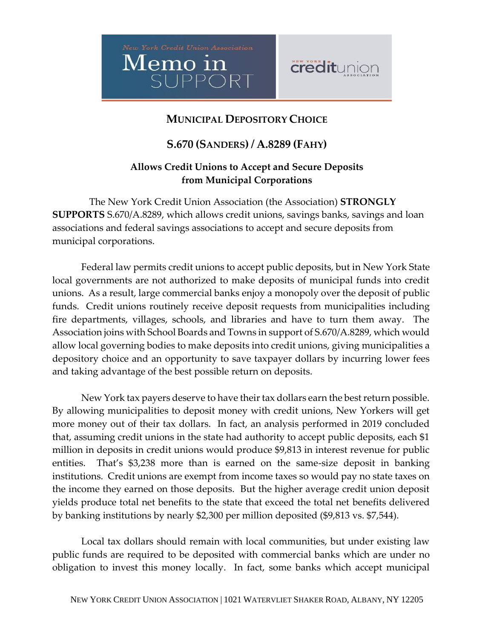



## **MUNICIPAL DEPOSITORY CHOICE**

## **S.670 (SANDERS) / A.8289 (FAHY)**

## **Allows Credit Unions to Accept and Secure Deposits from Municipal Corporations**

The New York Credit Union Association (the Association) **STRONGLY SUPPORTS** S.670/A.8289, which allows credit unions, savings banks, savings and loan associations and federal savings associations to accept and secure deposits from municipal corporations.

Federal law permits credit unions to accept public deposits, but in New York State local governments are not authorized to make deposits of municipal funds into credit unions. As a result, large commercial banks enjoy a monopoly over the deposit of public funds. Credit unions routinely receive deposit requests from municipalities including fire departments, villages, schools, and libraries and have to turn them away. The Association joins with School Boards and Towns in support of S.670/A.8289, which would allow local governing bodies to make deposits into credit unions, giving municipalities a depository choice and an opportunity to save taxpayer dollars by incurring lower fees and taking advantage of the best possible return on deposits.

New York tax payers deserve to have their tax dollars earn the best return possible. By allowing municipalities to deposit money with credit unions, New Yorkers will get more money out of their tax dollars. In fact, an analysis performed in 2019 concluded that, assuming credit unions in the state had authority to accept public deposits, each \$1 million in deposits in credit unions would produce \$9,813 in interest revenue for public entities. That's \$3,238 more than is earned on the same-size deposit in banking institutions. Credit unions are exempt from income taxes so would pay no state taxes on the income they earned on those deposits. But the higher average credit union deposit yields produce total net benefits to the state that exceed the total net benefits delivered by banking institutions by nearly \$2,300 per million deposited (\$9,813 vs. \$7,544).

Local tax dollars should remain with local communities, but under existing law public funds are required to be deposited with commercial banks which are under no obligation to invest this money locally. In fact, some banks which accept municipal